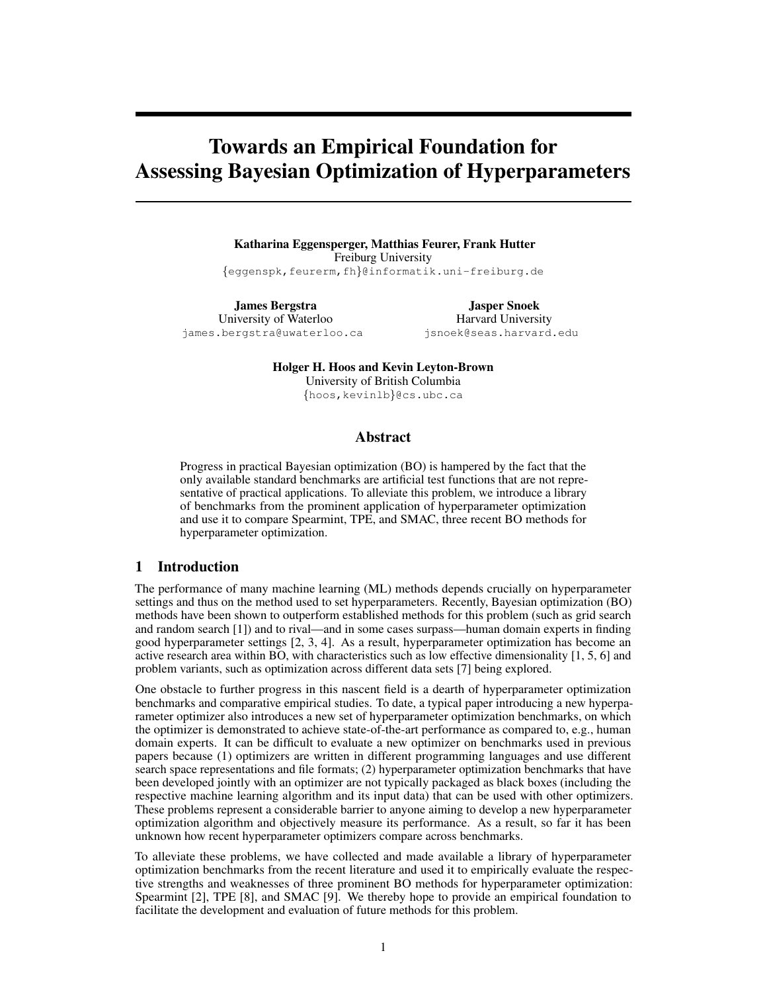# <span id="page-0-0"></span>Towards an Empirical Foundation for Assessing Bayesian Optimization of Hyperparameters

Katharina Eggensperger, Matthias Feurer, Frank Hutter Freiburg University {eggenspk,feurerm,fh}@informatik.uni-freiburg.de

James Bergstra University of Waterloo james.bergstra@uwaterloo.ca

Jasper Snoek Harvard University jsnoek@seas.harvard.edu

Holger H. Hoos and Kevin Leyton-Brown University of British Columbia {hoos,kevinlb}@cs.ubc.ca

#### Abstract

Progress in practical Bayesian optimization (BO) is hampered by the fact that the only available standard benchmarks are artificial test functions that are not representative of practical applications. To alleviate this problem, we introduce a library of benchmarks from the prominent application of hyperparameter optimization and use it to compare Spearmint, TPE, and SMAC, three recent BO methods for hyperparameter optimization.

### 1 Introduction

The performance of many machine learning (ML) methods depends crucially on hyperparameter settings and thus on the method used to set hyperparameters. Recently, Bayesian optimization (BO) methods have been shown to outperform established methods for this problem (such as grid search and random search [\[1\]](#page-4-0)) and to rival—and in some cases surpass—human domain experts in finding good hyperparameter settings [\[2,](#page-4-1) [3,](#page-4-2) [4\]](#page-4-3). As a result, hyperparameter optimization has become an active research area within BO, with characteristics such as low effective dimensionality [\[1,](#page-4-0) [5,](#page-4-4) [6\]](#page-4-5) and problem variants, such as optimization across different data sets [\[7\]](#page-4-6) being explored.

One obstacle to further progress in this nascent field is a dearth of hyperparameter optimization benchmarks and comparative empirical studies. To date, a typical paper introducing a new hyperparameter optimizer also introduces a new set of hyperparameter optimization benchmarks, on which the optimizer is demonstrated to achieve state-of-the-art performance as compared to, e.g., human domain experts. It can be difficult to evaluate a new optimizer on benchmarks used in previous papers because (1) optimizers are written in different programming languages and use different search space representations and file formats; (2) hyperparameter optimization benchmarks that have been developed jointly with an optimizer are not typically packaged as black boxes (including the respective machine learning algorithm and its input data) that can be used with other optimizers. These problems represent a considerable barrier to anyone aiming to develop a new hyperparameter optimization algorithm and objectively measure its performance. As a result, so far it has been unknown how recent hyperparameter optimizers compare across benchmarks.

To alleviate these problems, we have collected and made available a library of hyperparameter optimization benchmarks from the recent literature and used it to empirically evaluate the respective strengths and weaknesses of three prominent BO methods for hyperparameter optimization: Spearmint [\[2\]](#page-4-1), TPE [\[8\]](#page-4-7), and SMAC [\[9\]](#page-4-8). We thereby hope to provide an empirical foundation to facilitate the development and evaluation of future methods for this problem.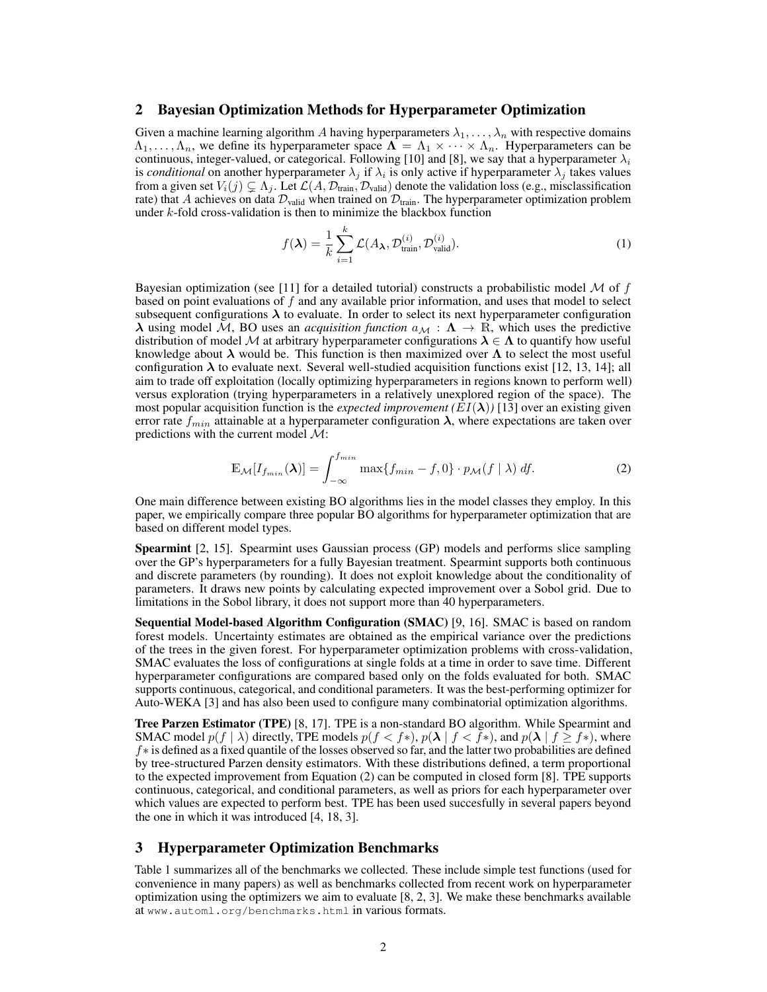#### 2 Bayesian Optimization Methods for Hyperparameter Optimization

Given a machine learning algorithm A having hyperparameters  $\lambda_1, \ldots, \lambda_n$  with respective domains  $\Lambda_1, \ldots, \Lambda_n$ , we define its hyperparameter space  $\Lambda = \Lambda_1 \times \cdots \times \Lambda_n$ . Hyperparameters can be continuous, integer-valued, or categorical. Following [\[10\]](#page-4-9) and [\[8\]](#page-4-7), we say that a hyperparameter  $\lambda_i$ is *conditional* on another hyperparameter  $\lambda_j$  if  $\lambda_i$  is only active if hyperparameter  $\lambda_j$  takes values from a given set  $V_i(j) \subsetneq \Lambda_j$ . Let  $\mathcal{L}(A, \mathcal{D}_{\text{train}}, \mathcal{D}_{\text{valid}})$  denote the validation loss (e.g., misclassification rate) that A achieves on data  $\mathcal{D}_{valid}$  when trained on  $\mathcal{D}_{train}$ . The hyperparameter optimization problem under k-fold cross-validation is then to minimize the blackbox function

$$
f(\lambda) = \frac{1}{k} \sum_{i=1}^{k} \mathcal{L}(A_{\lambda}, \mathcal{D}_{\text{train}}^{(i)}, \mathcal{D}_{\text{valid}}^{(i)}).
$$
 (1)

Bayesian optimization (see [\[11\]](#page-4-10) for a detailed tutorial) constructs a probabilistic model  $\mathcal M$  of  $f$ based on point evaluations of  $f$  and any available prior information, and uses that model to select subsequent configurations  $\lambda$  to evaluate. In order to select its next hyperparameter configuration  $\lambda$  using model M, BO uses an *acquisition function*  $a_{\mathcal{M}} : \Lambda \to \mathbb{R}$ , which uses the predictive distribution of model M at arbitrary hyperparameter configurations  $\lambda \in \Lambda$  to quantify how useful knowledge about  $\lambda$  would be. This function is then maximized over  $\Lambda$  to select the most useful configuration  $\lambda$  to evaluate next. Several well-studied acquisition functions exist [\[12,](#page-4-11) [13,](#page-4-12) [14\]](#page-4-13); all aim to trade off exploitation (locally optimizing hyperparameters in regions known to perform well) versus exploration (trying hyperparameters in a relatively unexplored region of the space). The most popular acquisition function is the *expected improvement*  $(EI(\lambda))$  [\[13\]](#page-4-12) over an existing given error rate  $f_{min}$  attainable at a hyperparameter configuration  $\lambda$ , where expectations are taken over predictions with the current model  $\mathcal{M}$ :

<span id="page-1-0"></span>
$$
\mathbb{E}_{\mathcal{M}}[I_{f_{min}}(\boldsymbol{\lambda})] = \int_{-\infty}^{f_{min}} \max\{f_{min} - f, 0\} \cdot p_{\mathcal{M}}(f \mid \lambda) \, df. \tag{2}
$$

One main difference between existing BO algorithms lies in the model classes they employ. In this paper, we empirically compare three popular BO algorithms for hyperparameter optimization that are based on different model types.

Spearmint [\[2,](#page-4-1) [15\]](#page-4-14). Spearmint uses Gaussian process (GP) models and performs slice sampling over the GP's hyperparameters for a fully Bayesian treatment. Spearmint supports both continuous and discrete parameters (by rounding). It does not exploit knowledge about the conditionality of parameters. It draws new points by calculating expected improvement over a Sobol grid. Due to limitations in the Sobol library, it does not support more than 40 hyperparameters.

Sequential Model-based Algorithm Configuration (SMAC) [\[9,](#page-4-8) [16\]](#page-4-15). SMAC is based on random forest models. Uncertainty estimates are obtained as the empirical variance over the predictions of the trees in the given forest. For hyperparameter optimization problems with cross-validation, SMAC evaluates the loss of configurations at single folds at a time in order to save time. Different hyperparameter configurations are compared based only on the folds evaluated for both. SMAC supports continuous, categorical, and conditional parameters. It was the best-performing optimizer for Auto-WEKA [\[3\]](#page-4-2) and has also been used to configure many combinatorial optimization algorithms.

Tree Parzen Estimator (TPE) [\[8,](#page-4-7) [17\]](#page-4-16). TPE is a non-standard BO algorithm. While Spearmint and SMAC model  $p(f | \lambda)$  directly, TPE models  $p(f < f<sup>*</sup>)$ ,  $p(\lambda | f < f<sup>*</sup>)$ , and  $p(\lambda | f \geq f<sup>*</sup>)$ , where f∗ is defined as a fixed quantile of the losses observed so far, and the latter two probabilities are defined by tree-structured Parzen density estimators. With these distributions defined, a term proportional to the expected improvement from Equation [\(2\)](#page-1-0) can be computed in closed form [\[8\]](#page-4-7). TPE supports continuous, categorical, and conditional parameters, as well as priors for each hyperparameter over which values are expected to perform best. TPE has been used succesfully in several papers beyond the one in which it was introduced [\[4,](#page-4-3) [18,](#page-4-17) [3\]](#page-4-2).

#### 3 Hyperparameter Optimization Benchmarks

Table [1](#page-2-0) summarizes all of the benchmarks we collected. These include simple test functions (used for convenience in many papers) as well as benchmarks collected from recent work on hyperparameter optimization using the optimizers we aim to evaluate [\[8,](#page-4-7) [2,](#page-4-1) [3\]](#page-4-2). We make these benchmarks available at <www.automl.org/benchmarks.html> in various formats.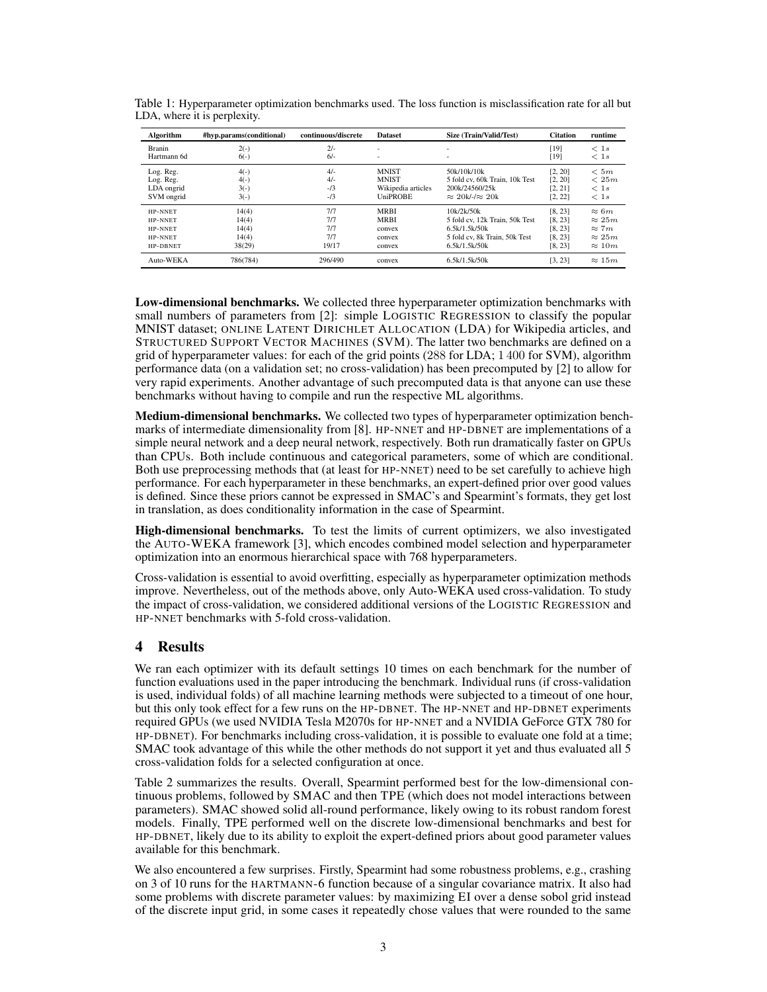| Algorithm      | #hyp.params(conditional) | continuous/discrete<br><b>Dataset</b> |                    | Size (Train/Valid/Test)        | <b>Citation</b> | runtime       |
|----------------|--------------------------|---------------------------------------|--------------------|--------------------------------|-----------------|---------------|
| Branin         | $2(-)$                   | $2/-$                                 | ۰                  | ٠                              | [19]            | < 1s          |
| Hartmann 6d    | $6(-)$                   | $6/-$                                 | ۰                  | ٠                              | $[19]$          | < 1s          |
| Log. Reg.      | $4(-)$                   | $4/-$                                 | <b>MNIST</b>       | 50k/10k/10k                    | [2, 20]         | < 5m          |
| Log. Reg.      | $4(-)$                   | $4/-$                                 | <b>MNIST</b>       | 5 fold cv. 60k Train, 10k Test | [2, 20]         | < 25m         |
| LDA ongrid     | $3(-)$                   | $-13$                                 | Wikipedia articles | 200k/24560/25k                 | [2, 21]         | < 1s          |
| SVM ongrid     | $3(-)$                   | $-13$                                 | <b>UniPROBE</b>    | $\approx$ 20k/-/ $\approx$ 20k | [2, 22]         | < 1s          |
| <b>HP-NNET</b> | 14(4)                    | 7/7                                   | <b>MRBI</b>        | 10k/2k/50k                     | [8, 23]         | $\approx 6m$  |
| HP-NNET        | 14(4)                    | 7/7                                   | <b>MRBI</b>        | 5 fold cv. 12k Train, 50k Test | [8, 23]         | $\approx 25m$ |
| HP-NNET        | 14(4)                    | 7/7                                   | convex             | 6.5k/1.5k/50k                  | [8, 23]         | $\approx 7m$  |
| HP-NNET        | 14(4)                    | 7/7                                   | convex             | 5 fold cv. 8k Train, 50k Test  | [8, 23]         | $\approx 25m$ |
| HP-DBNET       | 38(29)                   | 19/17                                 | convex             | 6.5k/1.5k/50k                  | [8, 23]         | $\approx 10m$ |
| Auto-WEKA      | 786(784)                 | 296/490                               | convex             | 6.5k/1.5k/50k                  | [3, 23]         | $\approx 15m$ |

<span id="page-2-0"></span>Table 1: Hyperparameter optimization benchmarks used. The loss function is misclassification rate for all but LDA, where it is perplexity.

Low-dimensional benchmarks. We collected three hyperparameter optimization benchmarks with small numbers of parameters from [\[2\]](#page-4-1): simple LOGISTIC REGRESSION to classify the popular MNIST dataset; ONLINE LATENT DIRICHLET ALLOCATION (LDA) for Wikipedia articles, and STRUCTURED SUPPORT VECTOR MACHINES (SVM). The latter two benchmarks are defined on a grid of hyperparameter values: for each of the grid points (288 for LDA; 1 400 for SVM), algorithm performance data (on a validation set; no cross-validation) has been precomputed by [\[2\]](#page-4-1) to allow for very rapid experiments. Another advantage of such precomputed data is that anyone can use these benchmarks without having to compile and run the respective ML algorithms.

**Medium-dimensional benchmarks.** We collected two types of hyperparameter optimization benchmarks of intermediate dimensionality from [\[8\]](#page-4-7). HP-NNET and HP-DBNET are implementations of a simple neural network and a deep neural network, respectively. Both run dramatically faster on GPUs than CPUs. Both include continuous and categorical parameters, some of which are conditional. Both use preprocessing methods that (at least for HP-NNET) need to be set carefully to achieve high performance. For each hyperparameter in these benchmarks, an expert-defined prior over good values is defined. Since these priors cannot be expressed in SMAC's and Spearmint's formats, they get lost in translation, as does conditionality information in the case of Spearmint.

High-dimensional benchmarks. To test the limits of current optimizers, we also investigated the AUTO-WEKA framework [\[3\]](#page-4-2), which encodes combined model selection and hyperparameter optimization into an enormous hierarchical space with 768 hyperparameters.

Cross-validation is essential to avoid overfitting, especially as hyperparameter optimization methods improve. Nevertheless, out of the methods above, only Auto-WEKA used cross-validation. To study the impact of cross-validation, we considered additional versions of the LOGISTIC REGRESSION and HP-NNET benchmarks with 5-fold cross-validation.

## 4 Results

We ran each optimizer with its default settings 10 times on each benchmark for the number of function evaluations used in the paper introducing the benchmark. Individual runs (if cross-validation is used, individual folds) of all machine learning methods were subjected to a timeout of one hour, but this only took effect for a few runs on the HP-DBNET. The HP-NNET and HP-DBNET experiments required GPUs (we used NVIDIA Tesla M2070s for HP-NNET and a NVIDIA GeForce GTX 780 for HP-DBNET). For benchmarks including cross-validation, it is possible to evaluate one fold at a time; SMAC took advantage of this while the other methods do not support it yet and thus evaluated all 5 cross-validation folds for a selected configuration at once.

Table [2](#page-3-0) summarizes the results. Overall, Spearmint performed best for the low-dimensional continuous problems, followed by SMAC and then TPE (which does not model interactions between parameters). SMAC showed solid all-round performance, likely owing to its robust random forest models. Finally, TPE performed well on the discrete low-dimensional benchmarks and best for HP-DBNET, likely due to its ability to exploit the expert-defined priors about good parameter values available for this benchmark.

We also encountered a few surprises. Firstly, Spearmint had some robustness problems, e.g., crashing on 3 of 10 runs for the HARTMANN-6 function because of a singular covariance matrix. It also had some problems with discrete parameter values: by maximizing EI over a dense sobol grid instead of the discrete input grid, in some cases it repeatedly chose values that were rounded to the same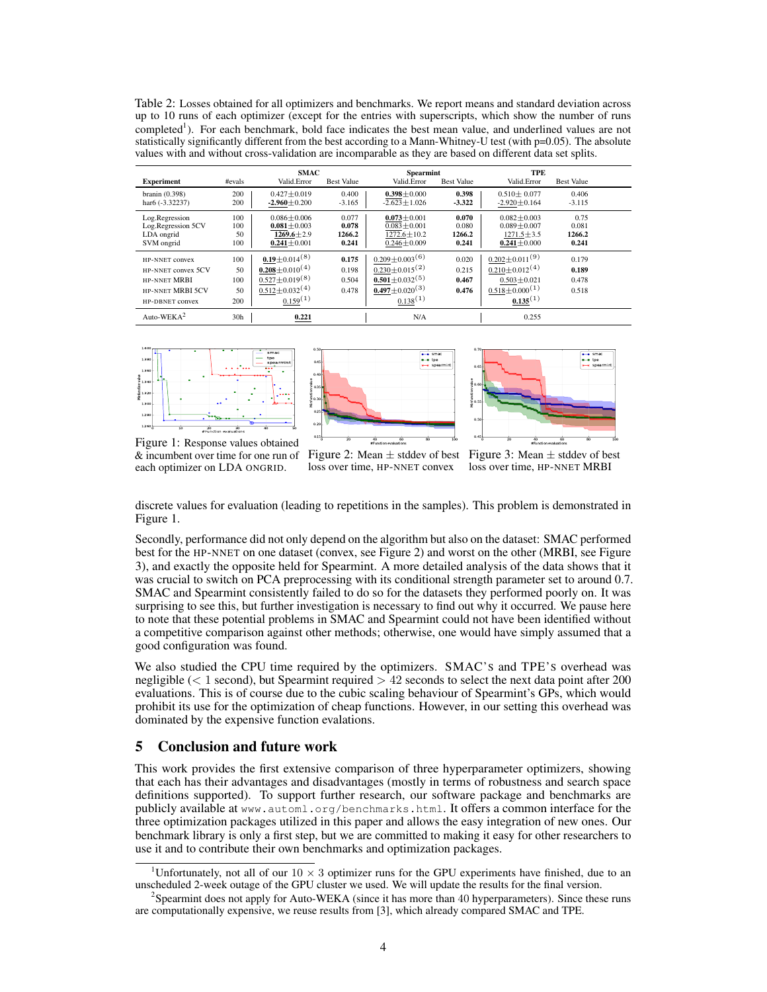<span id="page-3-0"></span>Table 2: Losses obtained for all optimizers and benchmarks. We report means and standard deviation across up to 10 runs of each optimizer (except for the entries with superscripts, which show the number of runs completed<sup>[1](#page-0-0)</sup>). For each benchmark, bold face indicates the best mean value, and underlined values are not statistically significantly different from the best according to a Mann-Whitney-U test (with p=0.05). The absolute values with and without cross-validation are incomparable as they are based on different data set splits.

|                               |                 | <b>SMAC</b>                       |                   | <b>Spearmint</b>                 |                   | TPE                              |                   |  |
|-------------------------------|-----------------|-----------------------------------|-------------------|----------------------------------|-------------------|----------------------------------|-------------------|--|
| <b>Experiment</b>             | #evals          | Valid.Error                       | <b>Best Value</b> | Valid.Error                      | <b>Best Value</b> | Valid.Error                      | <b>Best Value</b> |  |
| branin $(0.398)$              | 200             | $0.427 + 0.019$                   | 0.400             | $0.398 + 0.000$                  | 0.398             | $0.510 \pm 0.077$                | 0.406             |  |
| har <sub>6</sub> $(-3.32237)$ | 200             | $-2.960 + 0.200$                  | $-3.165$          | $-2.623 + 1.026$                 | $-3.322$          | $-2.920 + 0.164$                 | $-3.115$          |  |
| Log.Regression                | 100             | $0.086 + 0.006$                   | 0.077             | $0.073 + 0.001$                  | 0.070             | $0.082 + 0.003$                  | 0.75              |  |
| Log.Regression 5CV            | 100             | $0.081 + 0.003$                   | 0.078             | $0.083 + 0.001$                  | 0.080             | $0.089 + 0.007$                  | 0.081             |  |
| LDA ongrid                    | 50              | $1269.6 + 2.9$                    | 1266.2            | $1272.6 \pm 10.2$                | 1266.2            | $1271.5 + 3.5$                   | 1266.2            |  |
| SVM ongrid                    | 100             | $0.241 + 0.001$                   | 0.241             | $0.246 + 0.009$                  | 0.241             | $0.241 \pm 0.000$                | 0.241             |  |
| HP-NNET convex                | 100             | $0.19 \pm 0.014^{(8)}$            | 0.175             | $0.209 \pm 0.003$ <sup>(6)</sup> | 0.020             | $0.202 \pm 0.011^{(9)}$          | 0.179             |  |
| HP-NNET convex 5CV            | 50              | $0.208 \pm 0.010^{(4)}$           | 0.198             | $0.230 \pm 0.015$ <sup>(2)</sup> | 0.215             | $0.210 \pm 0.012^{(4)}$          | 0.189             |  |
| <b>HP-NNET MRBI</b>           | 100             | $\frac{0.527 \pm 0.019}{8}$       | 0.504             | $0.501 \pm 0.032^{(5)}$          | 0.467             | $0.503 + 0.021$                  | 0.478             |  |
| <b>HP-NNET MRBI 5CV</b>       | 50              | $\frac{0.512 \pm 0.032^{(4)}}{2}$ | 0.478             | $0.497 \pm 0.020^{(3)}$          | 0.476             | $0.518 \pm 0.000$ <sup>(1)</sup> | 0.518             |  |
| HP-DBNET convex               | 200             | 0.159(1)                          |                   | 0.138(1)                         |                   | 0.135(1)                         |                   |  |
| Auto-WEKA <sup>2</sup>        | 30 <sub>h</sub> | 0.221                             |                   | N/A                              |                   | 0.255                            |                   |  |

<span id="page-3-2"></span>

<span id="page-3-3"></span>

<span id="page-3-4"></span>

Figure 1: Response values obtained & incumbent over time for one run of each optimizer on LDA ONGRID.

Figure 2: Mean  $\pm$  stddev of best Figure 3: Mean  $\pm$  stddev of best loss over time, HP-NNET convex

loss over time, HP-NNET MRBI

discrete values for evaluation (leading to repetitions in the samples). This problem is demonstrated in Figure [1.](#page-3-2)

Secondly, performance did not only depend on the algorithm but also on the dataset: SMAC performed best for the HP-NNET on one dataset (convex, see Figure [2\)](#page-3-3) and worst on the other (MRBI, see Figure [3\)](#page-3-4), and exactly the opposite held for Spearmint. A more detailed analysis of the data shows that it was crucial to switch on PCA preprocessing with its conditional strength parameter set to around 0.7. SMAC and Spearmint consistently failed to do so for the datasets they performed poorly on. It was surprising to see this, but further investigation is necessary to find out why it occurred. We pause here to note that these potential problems in SMAC and Spearmint could not have been identified without a competitive comparison against other methods; otherwise, one would have simply assumed that a good configuration was found.

We also studied the CPU time required by the optimizers. SMAC'S and TPE'S overhead was negligible ( $< 1$  second), but Spearmint required  $> 42$  seconds to select the next data point after 200 evaluations. This is of course due to the cubic scaling behaviour of Spearmint's GPs, which would prohibit its use for the optimization of cheap functions. However, in our setting this overhead was dominated by the expensive function evalations.

#### 5 Conclusion and future work

This work provides the first extensive comparison of three hyperparameter optimizers, showing that each has their advantages and disadvantages (mostly in terms of robustness and search space definitions supported). To support further research, our software package and benchmarks are publicly available at <www.automl.org/benchmarks.html>. It offers a common interface for the three optimization packages utilized in this paper and allows the easy integration of new ones. Our benchmark library is only a first step, but we are committed to making it easy for other researchers to use it and to contribute their own benchmarks and optimization packages.

<sup>&</sup>lt;sup>1</sup>Unfortunately, not all of our  $10 \times 3$  optimizer runs for the GPU experiments have finished, due to an unscheduled 2-week outage of the GPU cluster we used. We will update the results for the final version.

<span id="page-3-1"></span><sup>&</sup>lt;sup>2</sup>Spearmint does not apply for Auto-WEKA (since it has more than 40 hyperparameters). Since these runs are computationally expensive, we reuse results from [\[3\]](#page-4-2), which already compared SMAC and TPE.